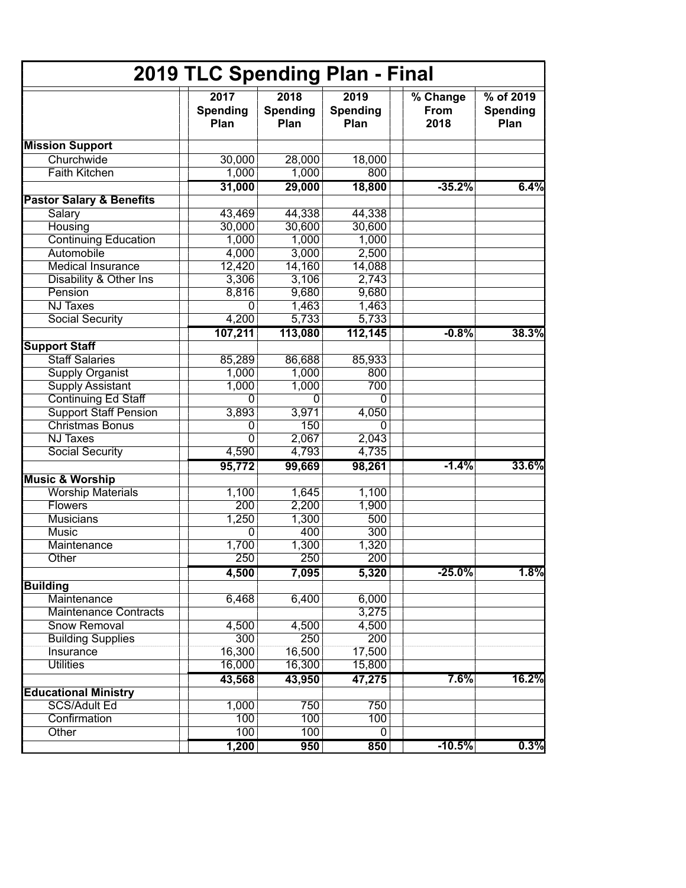